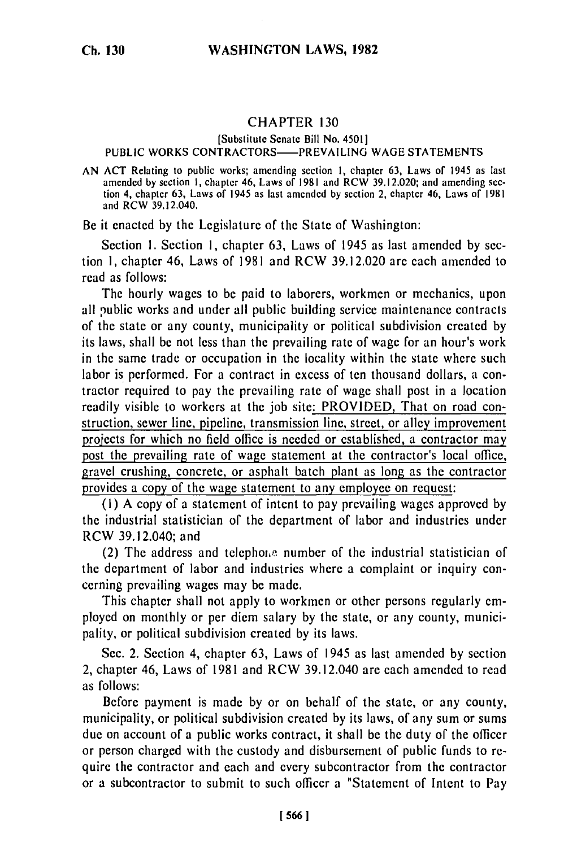## CHAPTER **130**

## [Substitute Senate Bill No. 4501] **PUBLIC** WORKS CONTRACTORS-PREVAILING **WAGE STATEMENTS**

**AN ACT** Relating to public works; amending section **I,** chapter **63,** Laws of 1945 as last amended **by** section **I,** chapter 46, Laws of **1981** and RCW **39.12.020;** and amending **sec**tion 4, chapter **63,** Laws of 1945 as last amended **by** section 2, chapter 46, Laws of **1981** and RCW 39.12.040.

Be it enacted **by** the Legislature of the State of Washington:

Section **1.** Section **1,** chapter **63,** Laws of 1945 as last amended **by** section **1,** chapter 46, Laws of **1981** and RCW **39.12.020 are** each amended to read as follows:

The hourly wages to **be** paid to laborers, workmen or mechanics, upon all public works and under all public building service maintenance contracts of the state or any county, municipality or political subdivision created **by** its laws, shall be not less than the prevailing rate of wage for an hour's work in the same trade or occupation in the locality within the state where such labor is performed. For a contract in excess of ten thousand dollars, a contractor required to pay the prevailing rate of wage shall post in a location readily visible to workers at the **job** site: PROVIDED, That on road construction, sewer line, pipeline, transmission line, street, or alley improvement projects for which no field office is needed or established, a contractor may post the prevailing rate of wage statement at the contractor's local office, gravel crushing, concrete, or asphalt batch plant as long as the contractor provides a copy of the wage statement to any employee on request:

**(i) A** copy of a statement of intent to pay prevailing wages approved **by** the industrial statistician of the department of labor and industries under RCW 39.12.040; and

(2) The address and telephone number of the industrial statistician of the department of labor and industries where a complaint or inquiry concerning prevailing wages may be made.

This chapter shall not apply to workmen or other persons regularly employed on monthly or per **diem** salary **by** the state, or any county, municipality, or political subdivision created **by** its laws.

Sec. 2. Section 4, chapter **63,** Laws of 1945 as last amended **by** section 2, chapter 46, Laws of **1981** and RCW 39.12.040 are each amended to read as follows:

Before payment is made **by** or on behalf of the state, or any county, municipality, or political subdivision created **by** its laws, of any sum or sums due on account of a public works contract, it shall be the duty of the officer or person charged with the custody and disbursement of public funds to require the contractor and each and every subcontractor from the contractor or a subcontractor to submit to such officer a "Statement of Intent to Pay